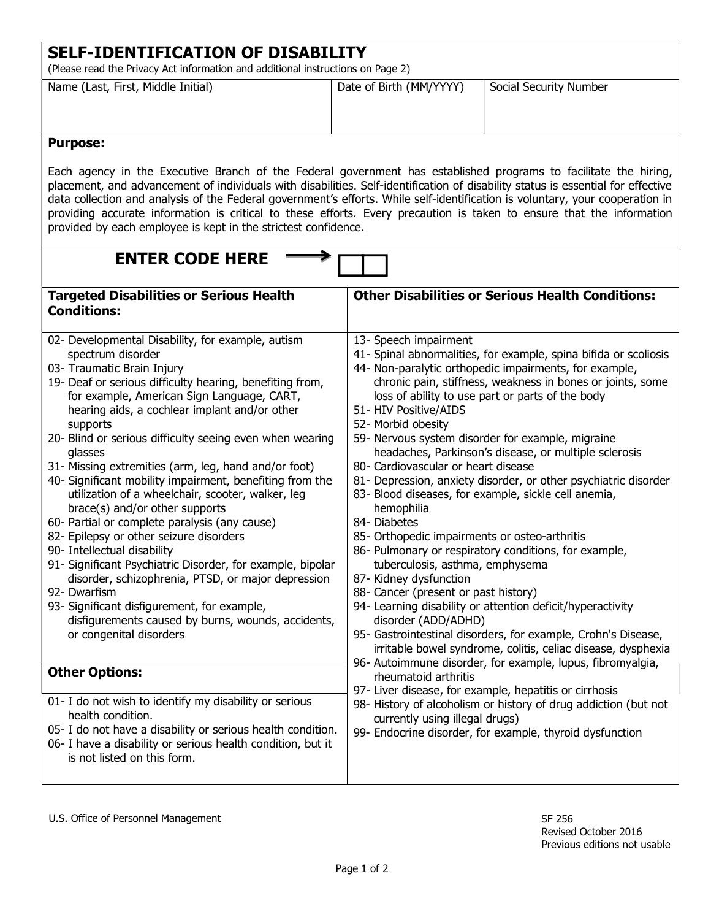| (Please read the Privacy Act information and additional instructions on Page 2)                                                                                                                                                                                                                                                                                                                                                                                                                                                                                                                                                                                                                                                                                                                                                                                                                                                                              |                                                                                                                                                                                                                                                                                                                                                                                                                                     |                                                                                                                                                                                                                                                                                                                                                                                                                                                                                                                                                                                                                                  |
|--------------------------------------------------------------------------------------------------------------------------------------------------------------------------------------------------------------------------------------------------------------------------------------------------------------------------------------------------------------------------------------------------------------------------------------------------------------------------------------------------------------------------------------------------------------------------------------------------------------------------------------------------------------------------------------------------------------------------------------------------------------------------------------------------------------------------------------------------------------------------------------------------------------------------------------------------------------|-------------------------------------------------------------------------------------------------------------------------------------------------------------------------------------------------------------------------------------------------------------------------------------------------------------------------------------------------------------------------------------------------------------------------------------|----------------------------------------------------------------------------------------------------------------------------------------------------------------------------------------------------------------------------------------------------------------------------------------------------------------------------------------------------------------------------------------------------------------------------------------------------------------------------------------------------------------------------------------------------------------------------------------------------------------------------------|
| Name (Last, First, Middle Initial)                                                                                                                                                                                                                                                                                                                                                                                                                                                                                                                                                                                                                                                                                                                                                                                                                                                                                                                           | Date of Birth (MM/YYYY)                                                                                                                                                                                                                                                                                                                                                                                                             | Social Security Number                                                                                                                                                                                                                                                                                                                                                                                                                                                                                                                                                                                                           |
| <b>Purpose:</b>                                                                                                                                                                                                                                                                                                                                                                                                                                                                                                                                                                                                                                                                                                                                                                                                                                                                                                                                              |                                                                                                                                                                                                                                                                                                                                                                                                                                     |                                                                                                                                                                                                                                                                                                                                                                                                                                                                                                                                                                                                                                  |
| Each agency in the Executive Branch of the Federal government has established programs to facilitate the hiring,<br>placement, and advancement of individuals with disabilities. Self-identification of disability status is essential for effective<br>data collection and analysis of the Federal government's efforts. While self-identification is voluntary, your cooperation in<br>providing accurate information is critical to these efforts. Every precaution is taken to ensure that the information<br>provided by each employee is kept in the strictest confidence.                                                                                                                                                                                                                                                                                                                                                                             |                                                                                                                                                                                                                                                                                                                                                                                                                                     |                                                                                                                                                                                                                                                                                                                                                                                                                                                                                                                                                                                                                                  |
| <b>ENTER CODE HERE</b>                                                                                                                                                                                                                                                                                                                                                                                                                                                                                                                                                                                                                                                                                                                                                                                                                                                                                                                                       |                                                                                                                                                                                                                                                                                                                                                                                                                                     |                                                                                                                                                                                                                                                                                                                                                                                                                                                                                                                                                                                                                                  |
| <b>Targeted Disabilities or Serious Health</b><br><b>Conditions:</b>                                                                                                                                                                                                                                                                                                                                                                                                                                                                                                                                                                                                                                                                                                                                                                                                                                                                                         |                                                                                                                                                                                                                                                                                                                                                                                                                                     | <b>Other Disabilities or Serious Health Conditions:</b>                                                                                                                                                                                                                                                                                                                                                                                                                                                                                                                                                                          |
| 02- Developmental Disability, for example, autism<br>spectrum disorder<br>03- Traumatic Brain Injury<br>19- Deaf or serious difficulty hearing, benefiting from,<br>for example, American Sign Language, CART,<br>hearing aids, a cochlear implant and/or other<br>supports<br>20- Blind or serious difficulty seeing even when wearing<br>glasses<br>31- Missing extremities (arm, leg, hand and/or foot)<br>40- Significant mobility impairment, benefiting from the<br>utilization of a wheelchair, scooter, walker, leg<br>brace(s) and/or other supports<br>60- Partial or complete paralysis (any cause)<br>82- Epilepsy or other seizure disorders<br>90- Intellectual disability<br>91- Significant Psychiatric Disorder, for example, bipolar<br>disorder, schizophrenia, PTSD, or major depression<br>92- Dwarfism<br>93- Significant disfigurement, for example,<br>disfigurements caused by burns, wounds, accidents,<br>or congenital disorders | 13- Speech impairment<br>51- HIV Positive/AIDS<br>52- Morbid obesity<br>59- Nervous system disorder for example, migraine<br>80- Cardiovascular or heart disease<br>83- Blood diseases, for example, sickle cell anemia,<br>hemophilia<br>84- Diabetes<br>85- Orthopedic impairments or osteo-arthritis<br>tuberculosis, asthma, emphysema<br>87- Kidney dysfunction<br>88- Cancer (present or past history)<br>disorder (ADD/ADHD) | 41- Spinal abnormalities, for example, spina bifida or scoliosis<br>44- Non-paralytic orthopedic impairments, for example,<br>chronic pain, stiffness, weakness in bones or joints, some<br>loss of ability to use part or parts of the body<br>headaches, Parkinson's disease, or multiple sclerosis<br>81- Depression, anxiety disorder, or other psychiatric disorder<br>86- Pulmonary or respiratory conditions, for example,<br>94- Learning disability or attention deficit/hyperactivity<br>95- Gastrointestinal disorders, for example, Crohn's Disease,<br>irritable bowel syndrome, colitis, celiac disease, dysphexia |
| <b>Other Options:</b><br>01- I do not wish to identify my disability or serious<br>health condition.<br>05- I do not have a disability or serious health condition.<br>06- I have a disability or serious health condition, but it<br>is not listed on this form.                                                                                                                                                                                                                                                                                                                                                                                                                                                                                                                                                                                                                                                                                            | 96- Autoimmune disorder, for example, lupus, fibromyalgia,<br>rheumatoid arthritis<br>97- Liver disease, for example, hepatitis or cirrhosis<br>98- History of alcoholism or history of drug addiction (but not<br>currently using illegal drugs)<br>99- Endocrine disorder, for example, thyroid dysfunction                                                                                                                       |                                                                                                                                                                                                                                                                                                                                                                                                                                                                                                                                                                                                                                  |

SELF-IDENTIFICATION OF DISABILITY